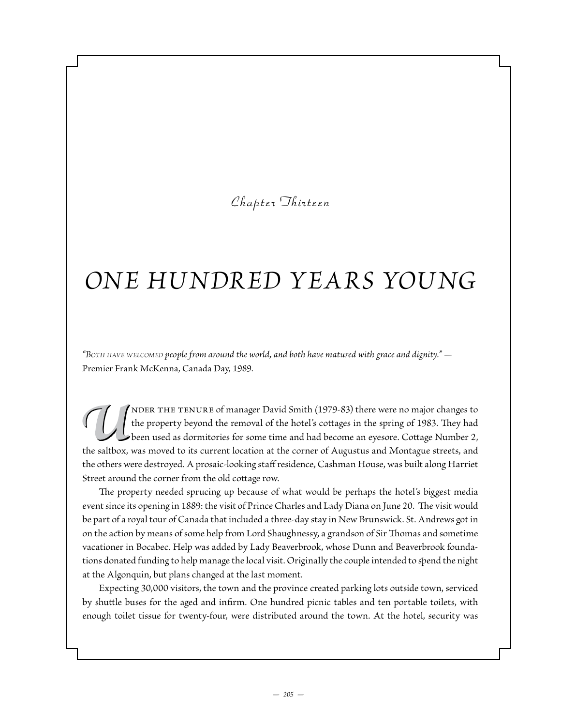## *Chapter Thirteen*

## *One Hundred Years Young*

*"Both have welcomed people from around the world, and both have matured with grace and dignity." —*  Premier Frank McKenna, Canada Day, 1989.

NDER THE TENURE of manager David Smith (1979-83) there were no major changes to the property beyond the removal of the hotel's cottages in the spring of 1983. They had been used as dormitories for some time and had become an eyesore. Cottage Number 2, the saltbox, was moved to its current location at the corner of Augustus and Montague streets, and the others were destroyed. A prosaic-looking staff residence, Cashman House, was built along Harriet Street around the corner from the old cottage row.

The property needed sprucing up because of what would be perhaps the hotel's biggest media event since its opening in 1889: the visit of Prince Charles and Lady Diana on June 20. The visit would be part of a royal tour of Canada that included a three-day stay in New Brunswick. St. Andrews got in on the action by means of some help from Lord Shaughnessy, a grandson of Sir Thomas and sometime vacationer in Bocabec. Help was added by Lady Beaverbrook, whose Dunn and Beaverbrook foundations donated funding to help manage the local visit. Originally the couple intended to spend the night at the Algonquin, but plans changed at the last moment.

Expecting 30,000 visitors, the town and the province created parking lots outside town, serviced by shuttle buses for the aged and infirm. One hundred picnic tables and ten portable toilets, with enough toilet tissue for twenty-four, were distributed around the town. At the hotel, security was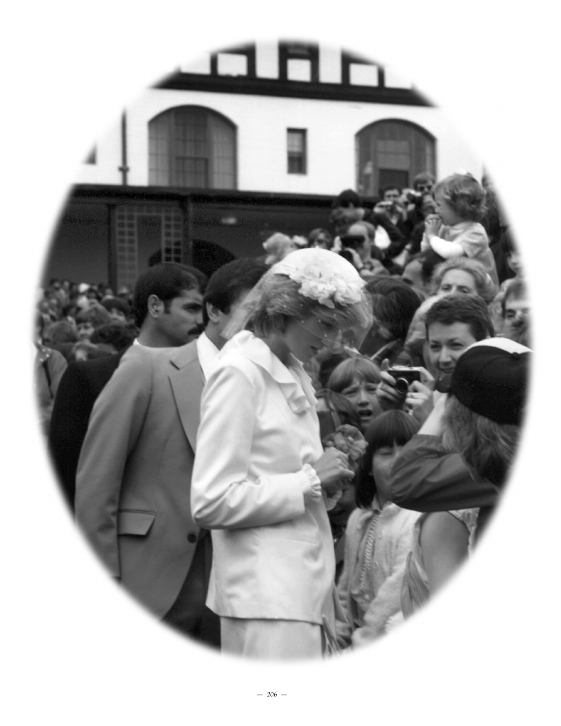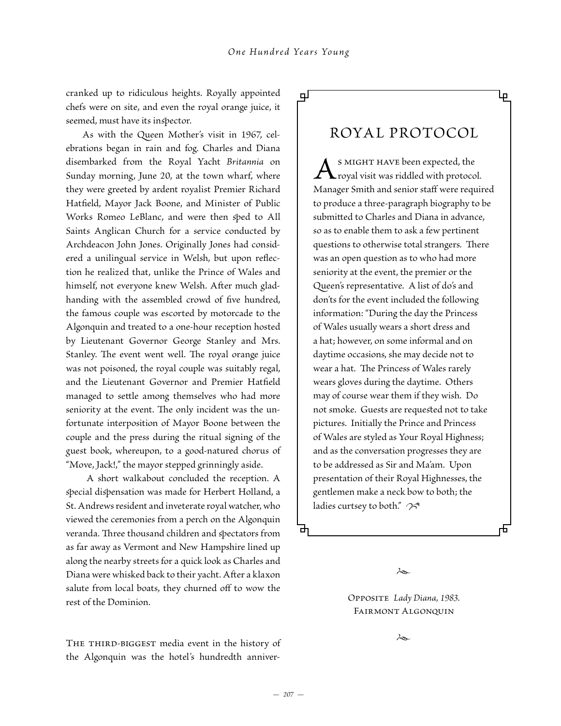qГ

cranked up to ridiculous heights. Royally appointed chefs were on site, and even the royal orange juice, it seemed, must have its inspector.

As with the Queen Mother's visit in 1967, celebrations began in rain and fog. Charles and Diana disembarked from the Royal Yacht *Britannia* on Sunday morning, June 20, at the town wharf, where they were greeted by ardent royalist Premier Richard Hatfield, Mayor Jack Boone, and Minister of Public Works Romeo LeBlanc, and were then sped to All Saints Anglican Church for a service conducted by Archdeacon John Jones. Originally Jones had considered a unilingual service in Welsh, but upon reflection he realized that, unlike the Prince of Wales and himself, not everyone knew Welsh. After much gladhanding with the assembled crowd of five hundred, the famous couple was escorted by motorcade to the Algonquin and treated to a one-hour reception hosted by Lieutenant Governor George Stanley and Mrs. Stanley. The event went well. The royal orange juice was not poisoned, the royal couple was suitably regal, and the Lieutenant Governor and Premier Hatfield managed to settle among themselves who had more seniority at the event. The only incident was the unfortunate interposition of Mayor Boone between the couple and the press during the ritual signing of the guest book, whereupon, to a good-natured chorus of "Move, Jack!," the mayor stepped grinningly aside.

 A short walkabout concluded the reception. A special dispensation was made for Herbert Holland, a St. Andrews resident and inveterate royal watcher, who viewed the ceremonies from a perch on the Algonquin veranda. Three thousand children and spectators from as far away as Vermont and New Hampshire lined up along the nearby streets for a quick look as Charles and Diana were whisked back to their yacht. After a klaxon salute from local boats, they churned off to wow the rest of the Dominion.

THE THIRD-BIGGEST media event in the history of the Algonquin was the hotel's hundredth anniver-

## Royal Protocol

Lр

ъ

A <sup>S MIGHT</sup> HAVE been expected, the royal visit was riddled with protocol. Manager Smith and senior staff were required to produce a three-paragraph biography to be submitted to Charles and Diana in advance, so as to enable them to ask a few pertinent questions to otherwise total strangers. There was an open question as to who had more seniority at the event, the premier or the Queen's representative. A list of do's and don'ts for the event included the following information: "During the day the Princess of Wales usually wears a short dress and a hat; however, on some informal and on daytime occasions, she may decide not to wear a hat. The Princess of Wales rarely wears gloves during the daytime. Others may of course wear them if they wish. Do not smoke. Guests are requested not to take pictures. Initially the Prince and Princess of Wales are styled as Your Royal Highness; and as the conversation progresses they are to be addressed as Sir and Ma'am. Upon presentation of their Royal Highnesses, the gentlemen make a neck bow to both; the ladies curtsey to both."  $\mathcal{P}$ 

ᇚ

*•*

Opposite *Lady Diana, 1983.* Fairmont Algonquin

*•*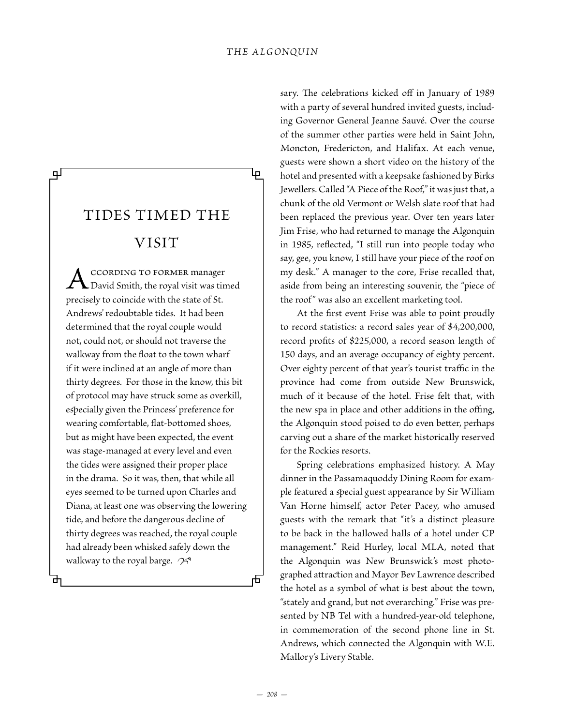Ļр

## Tides timed the Visit

பு

**A** CCORDING TO FORMER manager<br>David Smith, the royal visit was timed precisely to coincide with the state of St. Andrews' redoubtable tides. It had been determined that the royal couple would not, could not, or should not traverse the walkway from the float to the town wharf if it were inclined at an angle of more than thirty degrees. For those in the know, this bit of protocol may have struck some as overkill, especially given the Princess' preference for wearing comfortable, flat-bottomed shoes, but as might have been expected, the event was stage-managed at every level and even the tides were assigned their proper place in the drama. So it was, then, that while all eyes seemed to be turned upon Charles and Diana, at least one was observing the lowering tide, and before the dangerous decline of thirty degrees was reached, the royal couple had already been whisked safely down the walkway to the royal barge.  $\mathcal{P}^{\mathcal{P}}$ 

sary. The celebrations kicked off in January of 1989 with a party of several hundred invited guests, including Governor General Jeanne Sauvé. Over the course of the summer other parties were held in Saint John, Moncton, Fredericton, and Halifax. At each venue, guests were shown a short video on the history of the hotel and presented with a keepsake fashioned by Birks Jewellers. Called "A Piece of the Roof," it was just that, a chunk of the old Vermont or Welsh slate roof that had been replaced the previous year. Over ten years later Jim Frise, who had returned to manage the Algonquin in 1985, reflected, "I still run into people today who say, gee, you know, I still have your piece of the roof on my desk." A manager to the core, Frise recalled that, aside from being an interesting souvenir, the "piece of the roof" was also an excellent marketing tool.

At the first event Frise was able to point proudly to record statistics: a record sales year of \$4,200,000, record profits of \$225,000, a record season length of 150 days, and an average occupancy of eighty percent. Over eighty percent of that year's tourist traffic in the province had come from outside New Brunswick, much of it because of the hotel. Frise felt that, with the new spa in place and other additions in the offing, the Algonquin stood poised to do even better, perhaps carving out a share of the market historically reserved for the Rockies resorts.

Spring celebrations emphasized history. A May dinner in the Passamaquoddy Dining Room for example featured a special guest appearance by Sir William Van Horne himself, actor Peter Pacey, who amused guests with the remark that "it's a distinct pleasure to be back in the hallowed halls of a hotel under CP management." Reid Hurley, local MLA, noted that the Algonquin was New Brunswick's most photographed attraction and Mayor Bev Lawrence described the hotel as a symbol of what is best about the town, "stately and grand, but not overarching." Frise was presented by NB Tel with a hundred-year-old telephone, in commemoration of the second phone line in St. Andrews, which connected the Algonquin with W.E. Mallory's Livery Stable.

击